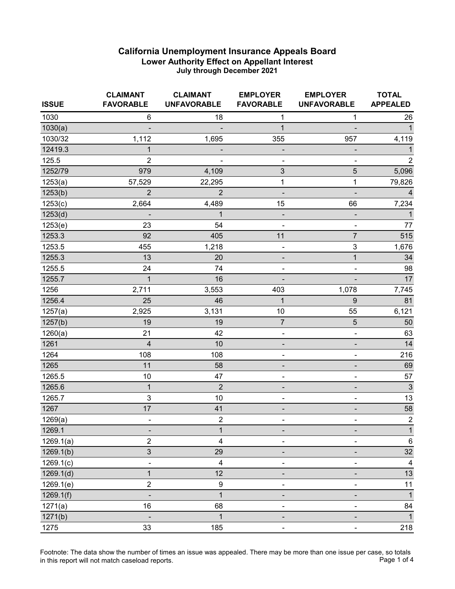| <b>ISSUE</b> | <b>CLAIMANT</b><br><b>FAVORABLE</b> | <b>CLAIMANT</b><br><b>UNFAVORABLE</b> | <b>EMPLOYER</b><br><b>FAVORABLE</b> | <b>EMPLOYER</b><br><b>UNFAVORABLE</b> | <b>TOTAL</b><br><b>APPEALED</b> |
|--------------|-------------------------------------|---------------------------------------|-------------------------------------|---------------------------------------|---------------------------------|
| 1030         | $\,6\,$                             | 18                                    | 1                                   | $\mathbf{1}$                          | 26                              |
| 1030(a)      |                                     |                                       | $\mathbf{1}$                        |                                       | $\mathbf{1}$                    |
| 1030/32      | 1,112                               | 1,695                                 | 355                                 | 957                                   | 4,119                           |
| 12419.3      | 1                                   | -                                     | -                                   |                                       | 1                               |
| 125.5        | $\overline{2}$                      |                                       |                                     |                                       | $\overline{2}$                  |
| 1252/79      | 979                                 | 4,109                                 | $\ensuremath{\mathsf{3}}$           | $\sqrt{5}$                            | 5,096                           |
| 1253(a)      | 57,529                              | 22,295                                | 1                                   | 1                                     | 79,826                          |
| 1253(b)      | $\overline{2}$                      | $\overline{2}$                        | $\overline{\phantom{a}}$            |                                       | 4                               |
| 1253(c)      | 2,664                               | 4,489                                 | 15                                  | 66                                    | 7,234                           |
| 1253(d)      |                                     | $\mathbf{1}$                          | -                                   |                                       | $\mathbf{1}$                    |
| 1253(e)      | 23                                  | 54                                    | $\overline{\phantom{0}}$            | $\blacksquare$                        | 77                              |
| 1253.3       | 92                                  | 405                                   | 11                                  | $\overline{7}$                        | 515                             |
| 1253.5       | 455                                 | 1,218                                 | $\overline{\phantom{0}}$            | $\ensuremath{\mathsf{3}}$             | 1,676                           |
| 1255.3       | 13                                  | 20                                    |                                     | 1                                     | 34                              |
| 1255.5       | 24                                  | 74                                    | ۰                                   |                                       | 98                              |
| 1255.7       | 1                                   | 16                                    | $\qquad \qquad \blacksquare$        | $\overline{\phantom{a}}$              | 17                              |
| 1256         | 2,711                               | 3,553                                 | 403                                 | 1,078                                 | 7,745                           |
| 1256.4       | 25                                  | 46                                    | $\mathbf{1}$                        | 9                                     | 81                              |
| 1257(a)      | 2,925                               | 3,131                                 | 10                                  | 55                                    | 6,121                           |
| 1257(b)      | 19                                  | 19                                    | $\overline{7}$                      | $\sqrt{5}$                            | 50                              |
| 1260(a)      | 21                                  | 42                                    | $\qquad \qquad \blacksquare$        | $\frac{1}{2}$                         | 63                              |
| 1261         | $\overline{4}$                      | 10                                    | -                                   |                                       | 14                              |
| 1264         | 108                                 | 108                                   | $\qquad \qquad \blacksquare$        | $\overline{\phantom{a}}$              | 216                             |
| 1265         | 11                                  | 58                                    |                                     |                                       | 69                              |
| 1265.5       | 10                                  | 47                                    | $\overline{\phantom{0}}$            | $\frac{1}{2}$                         | 57                              |
| 1265.6       | $\mathbf 1$                         | $\overline{2}$                        | $\qquad \qquad \blacksquare$        |                                       | $\sqrt{3}$                      |
| 1265.7       | 3                                   | 10                                    | ۰                                   | $\overline{\phantom{a}}$              | 13                              |
| 1267         | 17                                  | 41                                    | -                                   | $\overline{\phantom{a}}$              | 58                              |
| 1269(a)      | ۰                                   | $\overline{2}$                        | ۰                                   | ۰                                     | $\overline{2}$                  |
| 1269.1       | -                                   | $\mathbf 1$                           | -                                   | -                                     | $\mathbf{1}$                    |
| 1269.1(a)    | $\overline{2}$                      | 4                                     |                                     |                                       | $\,6\,$                         |
| 1269.1(b)    | 3                                   | 29                                    | -                                   |                                       | 32                              |
| 1269.1(c)    | ÷,                                  | 4                                     | $\qquad \qquad \blacksquare$        |                                       | $\overline{4}$                  |
| 1269.1(d)    | $\mathbf{1}$                        | 12                                    |                                     |                                       | 13                              |
| 1269.1(e)    | $\boldsymbol{2}$                    | 9                                     |                                     |                                       | 11                              |
| 1269.1(f)    |                                     | $\overline{1}$                        |                                     |                                       | $\overline{1}$                  |
| 1271(a)      | 16                                  | 68                                    | ۰                                   |                                       | 84                              |
| 1271(b)      | ÷                                   | $\mathbf{1}$                          |                                     |                                       | $\mathbf{1}$                    |
| 1275         | 33                                  | 185                                   | $\overline{\phantom{0}}$            |                                       | 218                             |

Footnote: The data show the number of times an issue was appealed. There may be more than one issue per case, so totals<br>Page 1 of 4 in this report will not match caseload reports.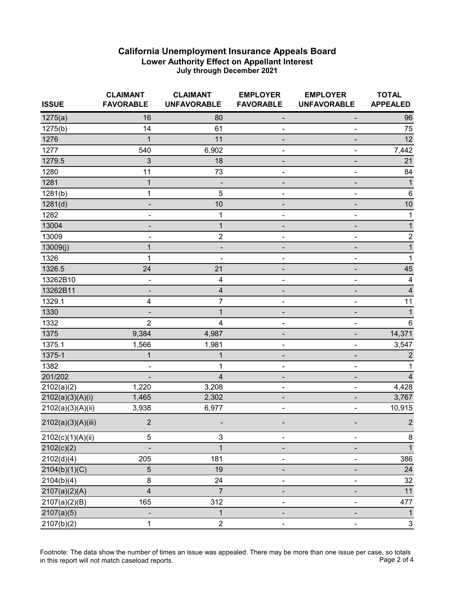| <b>ISSUE</b>       | <b>CLAIMANT</b><br><b>FAVORABLE</b> | <b>CLAIMANT</b><br><b>UNFAVORABLE</b> | <b>EMPLOYER</b><br><b>FAVORABLE</b> | <b>EMPLOYER</b><br><b>UNFAVORABLE</b> | <b>TOTAL</b><br><b>APPEALED</b> |
|--------------------|-------------------------------------|---------------------------------------|-------------------------------------|---------------------------------------|---------------------------------|
| 1275(a)            | 16                                  | 80                                    |                                     | -                                     | 96                              |
| 1275(b)            | 14                                  | 61                                    |                                     |                                       | 75                              |
| 1276               | 1                                   | 11                                    |                                     |                                       | 12                              |
| 1277               | 540                                 | 6,902                                 |                                     |                                       | 7,442                           |
| 1279.5             | 3                                   | 18                                    |                                     |                                       | 21                              |
| 1280               | 11                                  | 73                                    | ٠                                   | -                                     | 84                              |
| 1281               | $\mathbf{1}$                        |                                       |                                     |                                       | 1                               |
| 1281(b)            | 1                                   | 5                                     |                                     |                                       | $6\phantom{1}6$                 |
| 1281(d)            |                                     | 10                                    |                                     |                                       | 10                              |
| 1282               | -                                   | 1                                     |                                     | -                                     |                                 |
| 13004              | ۰                                   | $\mathbf 1$                           |                                     | -                                     | 1                               |
| 13009              |                                     | $\overline{2}$                        |                                     |                                       | 2                               |
| 13009(j)           | 1                                   |                                       |                                     |                                       | 1                               |
| 1326               | 1                                   |                                       |                                     |                                       | 1                               |
| 1326.5             | 24                                  | 21                                    |                                     |                                       | 45                              |
| 13262B10           |                                     | 4                                     |                                     |                                       | $\overline{4}$                  |
| 13262B11           |                                     | 4                                     |                                     |                                       | 4                               |
| 1329.1             | 4                                   | 7                                     |                                     |                                       | 11                              |
| 1330               |                                     | $\mathbf{1}$                          |                                     |                                       | 1                               |
| 1332               | $\overline{2}$                      | 4                                     |                                     |                                       | 6                               |
| 1375               | 9,384                               | 4,987                                 |                                     |                                       | 14,371                          |
| 1375.1             | 1,566                               | 1,981                                 |                                     |                                       | 3,547                           |
| 1375-1             | 1                                   | 1                                     |                                     |                                       | 2                               |
| 1382               |                                     | 1                                     |                                     |                                       |                                 |
| 201/202            |                                     | 4                                     |                                     |                                       |                                 |
| 2102(a)(2)         | 1,220                               | 3,208                                 |                                     | $\overline{\phantom{0}}$              | 4,428                           |
| 2102(a)(3)(A)(i)   | 1,465                               | 2,302                                 |                                     |                                       | 3,767                           |
| 2102(a)(3)(A)(ii)  | 3,938                               | 6,977                                 |                                     |                                       | 10,915                          |
| 2102(a)(3)(A)(iii) | $\overline{2}$                      |                                       |                                     |                                       | 2                               |
| 2102(c)(1)(A)(ii)  | 5                                   | 3                                     | $\overline{\phantom{0}}$            |                                       | $\bf 8$                         |
| 2102(c)(2)         |                                     | $\overline{1}$                        |                                     |                                       | $\mathbf{1}$                    |
| 2102(d)(4)         | 205                                 | 181                                   |                                     |                                       | 386                             |
| 2104(b)(1)(C)      | $\mathbf 5$                         | 19                                    |                                     |                                       | 24                              |
| 2104(b)(4)         | 8                                   | 24                                    | $\overline{\phantom{a}}$            |                                       | 32                              |
| 2107(a)(2)(A)      | $\overline{\mathbf{4}}$             | $\overline{7}$                        |                                     |                                       | 11                              |
| 2107(a)(2)(B)      | 165                                 | 312                                   |                                     |                                       | 477                             |
| 2107(a)(5)         |                                     | 1                                     |                                     |                                       | $\mathbf{1}$                    |
| 2107(b)(2)         | 1                                   | $\overline{\mathbf{c}}$               |                                     |                                       | $\mathsf 3$                     |

Footnote: The data show the number of times an issue was appealed. There may be more than one issue per case, so totals<br>Page 2 of 4 in this report will not match caseload reports.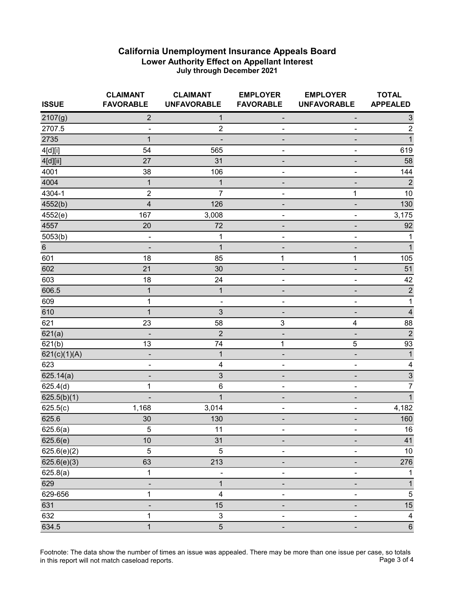| <b>ISSUE</b> | <b>CLAIMANT</b><br><b>FAVORABLE</b> | <b>CLAIMANT</b><br><b>UNFAVORABLE</b> | <b>EMPLOYER</b><br><b>FAVORABLE</b> | <b>EMPLOYER</b><br><b>UNFAVORABLE</b> | <b>TOTAL</b><br><b>APPEALED</b> |
|--------------|-------------------------------------|---------------------------------------|-------------------------------------|---------------------------------------|---------------------------------|
| 2107(g)      | $\overline{2}$                      | 1                                     | ٠                                   | -                                     | $\ensuremath{\mathsf{3}}$       |
| 2707.5       |                                     | $\overline{2}$                        |                                     |                                       | $\boldsymbol{2}$                |
| 2735         | 1                                   |                                       |                                     |                                       | $\overline{1}$                  |
| 4[d][i]      | 54                                  | 565                                   |                                     | ۰                                     | 619                             |
| 4[d][ii]     | 27                                  | 31                                    |                                     | -                                     | 58                              |
| 4001         | 38                                  | 106                                   | $\overline{\phantom{0}}$            | $\frac{1}{2}$                         | 144                             |
| 4004         | $\mathbf{1}$                        | $\mathbf{1}$                          |                                     |                                       | $\overline{2}$                  |
| 4304-1       | $\boldsymbol{2}$                    | $\overline{7}$                        |                                     | 1                                     | $10$                            |
| 4552(b)      | $\overline{4}$                      | 126                                   |                                     | $\overline{a}$                        | 130                             |
| 4552(e)      | 167                                 | 3,008                                 | $\qquad \qquad \blacksquare$        | $\blacksquare$                        | 3,175                           |
| 4557         | 20                                  | 72                                    | ٠                                   | -                                     | 92                              |
| 5053(b)      | -                                   | 1                                     | ÷                                   | ÷                                     | 1                               |
| $\,6$        |                                     | $\mathbf{1}$                          |                                     |                                       | 1                               |
| 601          | 18                                  | 85                                    | 1                                   | 1                                     | 105                             |
| 602          | 21                                  | 30                                    |                                     | -                                     | 51                              |
| 603          | 18                                  | 24                                    | $\blacksquare$                      | $\overline{\phantom{0}}$              | 42                              |
| 606.5        | 1                                   | $\mathbf 1$                           |                                     |                                       | $\overline{\mathbf{c}}$         |
| 609          | 1                                   | ۰                                     |                                     |                                       | 1                               |
| 610          | $\mathbf{1}$                        | 3                                     |                                     |                                       | 4                               |
| 621          | 23                                  | 58                                    | 3                                   | $\overline{\mathbf{4}}$               | 88                              |
| 621(a)       |                                     | $\overline{2}$                        |                                     | $\overline{\phantom{0}}$              | $\overline{2}$                  |
| 621(b)       | 13                                  | 74                                    | 1                                   | 5                                     | 93                              |
| 621(c)(1)(A) |                                     | $\mathbf{1}$                          |                                     |                                       | $\mathbf{1}$                    |
| 623          |                                     | 4                                     |                                     |                                       | 4                               |
| 625.14(a)    |                                     | 3                                     |                                     | -                                     | 3                               |
| 625.4(d)     | 1                                   | $\,6$                                 | -                                   | $\qquad \qquad \blacksquare$          | 7                               |
| 625.5(b)(1)  |                                     | $\mathbf{1}$                          |                                     |                                       | 1                               |
| 625.5(c)     | 1,168                               | 3,014                                 | $\overline{a}$                      | -                                     | 4,182                           |
| 625.6        | 30                                  | 130                                   |                                     | $\overline{\phantom{0}}$              | 160                             |
| 625.6(a)     | $\mathbf 5$                         | 11                                    |                                     |                                       | $16\,$                          |
| 625.6(e)     | 10                                  | 31                                    |                                     |                                       | 41                              |
| 625.6(e)(2)  | 5                                   | 5                                     |                                     |                                       | $10$                            |
| 625.6(e)(3)  | 63                                  | 213                                   | ٠                                   | -                                     | 276                             |
| 625.8(a)     | 1                                   |                                       |                                     |                                       | 1                               |
| 629          |                                     | $\mathbf{1}$                          |                                     |                                       | $\mathbf{1}$                    |
| 629-656      | 1                                   | 4                                     |                                     |                                       | $\sqrt{5}$                      |
| 631          |                                     | 15                                    |                                     |                                       | 15                              |
| 632          | 1                                   | $\mathsf 3$                           | $\qquad \qquad \blacksquare$        |                                       | $\overline{4}$                  |
| 634.5        | $\mathbf{1}$                        | $\overline{5}$                        |                                     |                                       | $\,6\,$                         |

Footnote: The data show the number of times an issue was appealed. There may be more than one issue per case, so totals<br>Page 3 of 4 in this report will not match caseload reports.